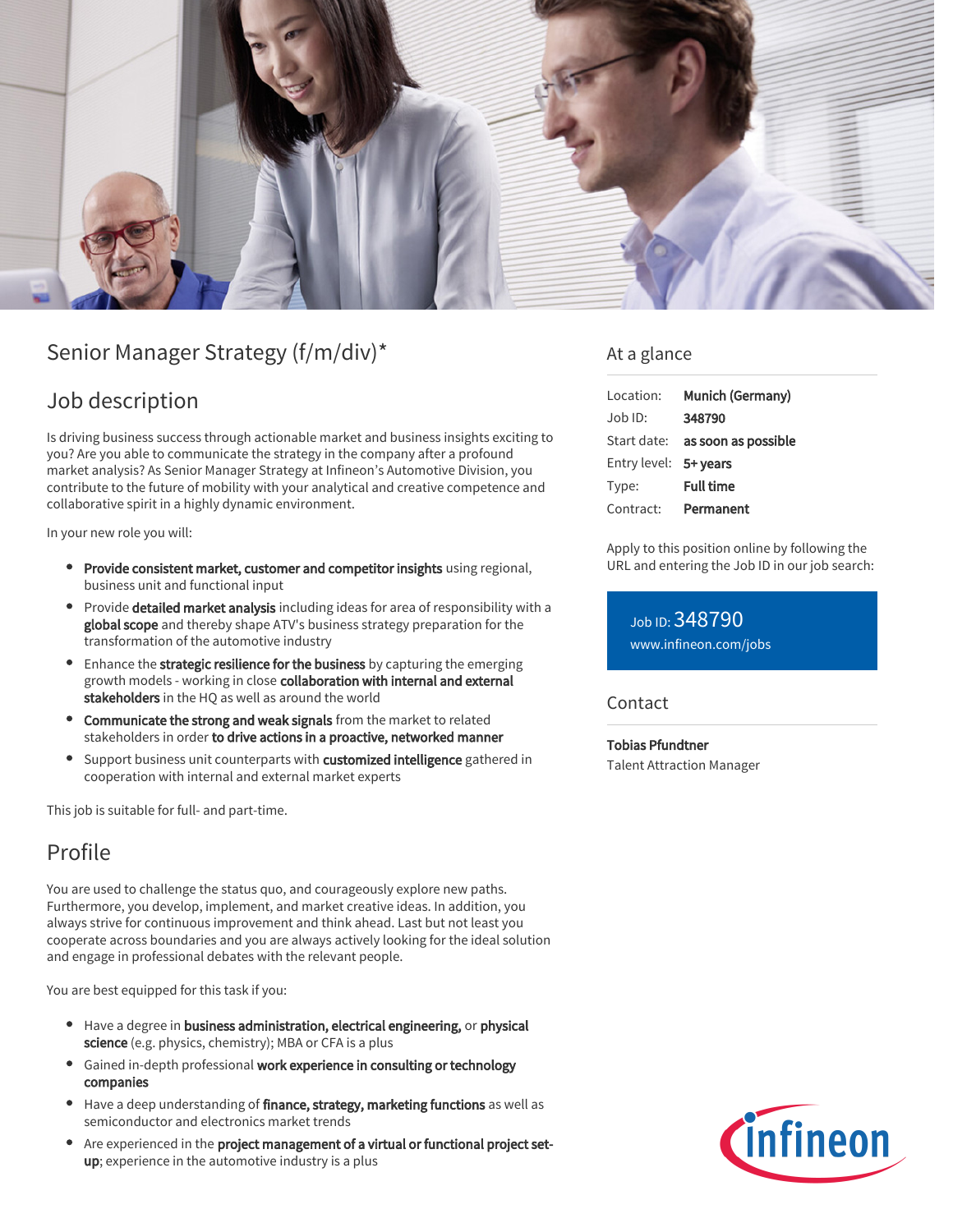

# Senior Manager Strategy (f/m/div)\*

### Job description

Is driving business success through actionable market and business insights exciting to you? Are you able to communicate the strategy in the company after a profound market analysis? As Senior Manager Strategy at Infineon's Automotive Division, you contribute to the future of mobility with your analytical and creative competence and collaborative spirit in a highly dynamic environment.

In your new role you will:

- Provide consistent market, customer and competitor insights using regional, business unit and functional input
- **Provide detailed market analysis** including ideas for area of responsibility with a global scope and thereby shape ATV's business strategy preparation for the transformation of the automotive industry
- **•** Enhance the strategic resilience for the business by capturing the emerging growth models - working in close collaboration with internal and external stakeholders in the HQ as well as around the world
- Communicate the strong and weak signals from the market to related stakeholders in order to drive actions in a proactive, networked manner
- Support business unit counterparts with customized intelligence gathered in  $\bullet$ cooperation with internal and external market experts

This job is suitable for full- and part-time.

## Profile

You are used to challenge the status quo, and courageously explore new paths. Furthermore, you develop, implement, and market creative ideas. In addition, you always strive for continuous improvement and think ahead. Last but not least you cooperate across boundaries and you are always actively looking for the ideal solution and engage in professional debates with the relevant people.

You are best equipped for this task if you:

- Have a degree in business administration, electrical engineering, or physical science (e.g. physics, chemistry); MBA or CFA is a plus
- Gained in-depth professional work experience in consulting or technology companies
- Have a deep understanding of finance, strategy, marketing functions as well as semiconductor and electronics market trends
- Are experienced in the project management of a virtual or functional project setup; experience in the automotive industry is a plus

### At a glance

| Location:             | Munich (Germany)                       |
|-----------------------|----------------------------------------|
| Job ID:               | 348790                                 |
|                       | Start date: <b>as soon as possible</b> |
| Entry level: 5+ years |                                        |
| Type:                 | <b>Full time</b>                       |
| Contract:             | Permanent                              |

Apply to this position online by following the URL and entering the Job ID in our job search:

Job ID: 348790 [www.infineon.com/jobs](https://www.infineon.com/jobs)

#### **Contact**

Tobias Pfundtner Talent Attraction Manager